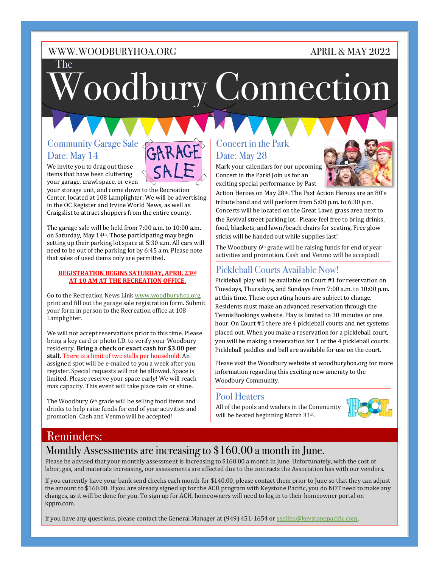## APRIL & MAY 2022

The

# Woodbury Connection

## Community Garage Sale Date: May 14

We invite you to drag out those items that have been cluttering your garage, crawl space, or even

your storage unit, and come down to the Recreation Center, located at 108 Lamplighter. We will be advertising in the OC Register and Irvine World News, as well as Craigslist to attract shoppers from the entire county.

The garage sale will be held from 7:00 a.m. to 10:00 a.m. on Saturday, May 14<sup>th</sup>. Those participating may begin setting up their parking lot space at 5:30 a.m. All cars will need to be out of the parking lot by 6:45 a.m. Please note that sales of used items only are permitted.

#### **REGISTRATION BEGINS SATURDAY, APRIL 23rd AT 10 AM AT THE RECREATION OFFICE.**

Go to the Recreation News Link www.woodburyhoa.org, print and fill out the garage sale registration form. Submit your form in person to the Recreation office at 108 Lamplighter. 

We will not accept reservations prior to this time. Please bring a key card or photo I.D. to verify your Woodbury residency. Bring a check or exact cash for \$3.00 per stall. There is a limit of two stalls per household. An assigned spot will be e-mailed to you a week after you register. Special requests will not be allowed. Space is limited. Please reserve your space early! We will reach max capacity. This event will take place rain or shine.

The Woodbury 6<sup>th</sup> grade will be selling food items and drinks to help raise funds for end of year activities and promotion. Cash and Venmo will be accepted!

## Concert in the Park Date: May 28

Mark your calendars for our upcoming Concert in the Park! Join us for an exciting special performance by Past



Action Heroes on May 28<sup>th</sup>. The Past Action Heroes are an 80's tribute band and will perform from  $5:00$  p.m. to  $6:30$  p.m. Concerts will be located on the Great Lawn grass area next to the Revival street parking lot. Please feel free to bring drinks, food, blankets, and lawn/beach chairs for seating. Free glow sticks will be handed out while supplies last!

The Woodbury  $6<sup>th</sup>$  grade will be raising funds for end of year activities and promotion. Cash and Venmo will be accepted!

## Pickleball Courts Available Now!

Pickleball play will be available on Court #1 for reservation on Tuesdays, Thursdays, and Sundays from 7:00 a.m. to 10:00 p.m. at this time. These operating hours are subject to change. Residents must make an advanced reservation through the TennisBookings website. Play is limited to 30 minutes or one hour. On Court #1 there are 4 pickleball courts and net systems placed out. When you make a reservation for a pickleball court, you will be making a reservation for 1 of the 4 pickleball courts. Pickleball paddles and ball are available for use on the court.

Please visit the Woodbury website at woodburyhoa.org for more information regarding this exciting new amenity to the Woodbury Community.

## Pool Heaters

All of the pools and waders in the Community will be heated beginning March 31st.



## Reminders:

## Monthly Assessments are increasing to \$160.00 a month in June.

Please be advised that your monthly assessment is increasing to \$160.00 a month in June. Unfortunately, with the cost of labor, gas, and materials increasing, our assessments are affected due to the contracts the Association has with our vendors.

If you currently have your bank send checks each month for \$140.00, please contact them prior to June so that they can adjust the amount to \$160.00. If you are already signed up for the ACH program with Keystone Pacific, you do NOT need to make any changes, as it will be done for you. To sign up for ACH, homeowners will need to log in to their homeowner portal on kppm.com. 

If you have any questions, please contact the General Manager at (949) 451-1654 or sseifen@keystonepacific.com.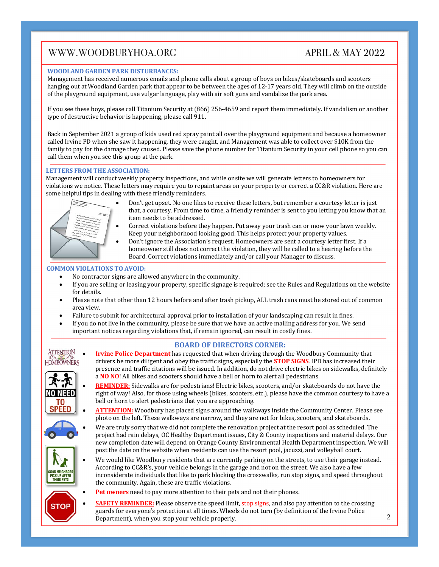#### **WOODLAND GARDEN PARK DISTURBANCES:**

Management has received numerous emails and phone calls about a group of boys on bikes/skateboards and scooters hanging out at Woodland Garden park that appear to be between the ages of 12-17 years old. They will climb on the outside of the playground equipment, use vulgar language, play with air soft guns and vandalize the park area.

If you see these boys, please call Titanium Security at (866) 256-4659 and report them immediately. If vandalism or another type of destructive behavior is happening, please call 911.

Back in September 2021 a group of kids used red spray paint all over the playground equipment and because a homeowner called Irvine PD when she saw it happening, they were caught, and Management was able to collect over \$10K from the family to pay for the damage they caused. Please save the phone number for Titanium Security in your cell phone so you can call them when you see this group at the park.

#### **LETTERS FROM THE ASSOCIATION:**

Management will conduct weekly property inspections, and while onsite we will generate letters to homeowners for violations we notice. These letters may require you to repaint areas on your property or correct a CC&R violation. Here are some helpful tips in dealing with these friendly reminders.



- Don't get upset. No one likes to receive these letters, but remember a courtesy letter is just that, a courtesy. From time to time, a friendly reminder is sent to you letting you know that an item needs to be addressed.
- Correct violations before they happen. Put away your trash can or mow your lawn weekly. Keep your neighborhood looking good. This helps protect your property values.
- Don't ignore the Association's request. Homeowners are sent a courtesy letter first. If a homeowner still does not correct the violation, they will be called to a hearing before the Board. Correct violations immediately and/or call your Manager to discuss.

#### **COMMON VIOLATIONS TO AVOID:**

- No contractor signs are allowed anywhere in the community.
- If you are selling or leasing your property, specific signage is required; see the Rules and Regulations on the website for details.
- Please note that other than 12 hours before and after trash pickup, ALL trash cans must be stored out of common area view.
- Failure to submit for architectural approval prior to installation of your landscaping can result in fines.
- If you do not live in the community, please be sure that we have an active mailing address for you. We send important notices regarding violations that, if remain ignored, can result in costly fines.

#### **BOARD OF DIRECTORS CORNER:**



**Irvine Police Department** has requested that when driving through the Woodbury Community that drivers be more diligent and obey the traffic signs, especially the **STOP SIGNS**. IPD has increased their presence and traffic citations will be issued. In addition, do not drive electric bikes on sidewalks, definitely a **NO** NO! All bikes and scooters should have a bell or horn to alert all pedestrians.



- REMINDER: Sidewalks are for pedestrians! Electric bikes, scooters, and/or skateboards do not have the right of way! Also, for those using wheels (bikes, scooters, etc.), please have the common courtesy to have a bell or horn to alert pedestrians that you are approaching.
- ATTENTION: Woodbury has placed signs around the walkways inside the Community Center. Please see photo on the left. These walkways are narrow, and they are not for bikes, scooters, and skateboards.
- We are truly sorry that we did not complete the renovation project at the resort pool as scheduled. The project had rain delays, OC Healthy Department issues, City & County inspections and material delays. Our new completion date will depend on Orange County Environmental Health Department inspection. We will post the date on the website when residents can use the resort pool, jacuzzi, and volleyball court.





- **Pet owners** need to pay more attention to their pets and not their phones.
- **SAFETY REMINDER:** Please observe the speed limit, stop signs, and also pay attention to the crossing guards for everyone's protection at all times. Wheels do not turn (by definition of the Irvine Police Department), when you stop your vehicle properly.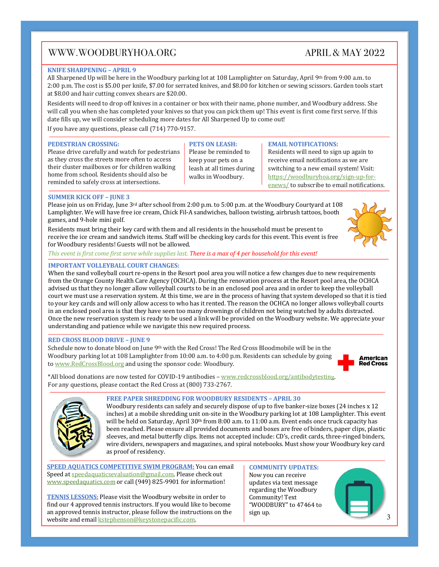## APRIL  $\&$  MAY 2022

#### **KNIFE SHARPENING - APRIL 9**

All Sharpened Up will be here in the Woodbury parking lot at 108 Lamplighter on Saturday, April 9th from 9:00 a.m. to 2:00 p.m. The cost is \$5.00 per knife, \$7.00 for serrated knives, and \$8.00 for kitchen or sewing scissors. Garden tools start at \$8.00 and hair cutting convex shears are \$20.00.

Residents will need to drop off knives in a container or box with their name, phone number, and Woodbury address. She will call you when she has completed your knives so that you can pick them up! This event is first come first serve. If this date fills up, we will consider scheduling more dates for All Sharpened Up to come out!

If you have any questions, please call  $(714)$   $770-9157$ .

#### **PEDESTRIAN CROSSING:**

Please drive carefully and watch for pedestrians as they cross the streets more often to access their cluster mailboxes or for children walking home from school. Residents should also be reminded to safely cross at intersections.

#### **PETS ON LEASH:** Please be reminded to keep your pets on a leash at all times during walks in Woodbury.

#### **EMAIL NOTIFICATIONS:**

Residents will need to sign up again to receive email notifications as we are switching to a new email system! Visit: https://woodburyhoa.org/sign-up-forenews/ to subscribe to email notifications.

#### **SUMMER KICK OFF - JUNE 3**

Please join us on Friday, June 3rd after school from 2:00 p.m. to 5:00 p.m. at the Woodbury Courtyard at 108 Lamplighter. We will have free ice cream, Chick Fil-A sandwiches, balloon twisting, airbrush tattoos, booth games, and 9-hole mini golf.

Residents must bring their key card with them and all residents in the household must be present to receive the ice cream and sandwich items. Staff will be checking key cards for this event. This event is free for Woodbury residents! Guests will not be allowed.



#### *This* event is first come first serve while supplies last. **There** is a max of 4 per household for this event!

#### **IMPORTANT VOLLEYBALL COURT CHANGES:**

When the sand volleyball court re-opens in the Resort pool area you will notice a few changes due to new requirements from the Orange County Health Care Agency (OCHCA). During the renovation process at the Resort pool area, the OCHCA advised us that they no longer allow volleyball courts to be in an enclosed pool area and in order to keep the volleyball court we must use a reservation system. At this time, we are in the process of having that system developed so that it is tied to your key cards and will only allow access to who has it rented. The reason the OCHCA no longer allows volleyball courts in an enclosed pool area is that they have seen too many drownings of children not being watched by adults distracted. Once the new reservation system is ready to be used a link will be provided on the Woodbury website. We appreciate your understanding and patience while we navigate this new required process.

#### **RED CROSS BLOOD DRIVE – JUNE 9**

Schedule now to donate blood on June 9<sup>th</sup> with the Red Cross! The Red Cross Bloodmobile will be in the Woodbury parking lot at 108 Lamplighter from 10:00 a.m. to 4:00 p.m. Residents can schedule by going to www.RedCrossBlood.org and using the sponsor code: Woodbury.

**American Red Cross** 

\*All blood donations are now tested for COVID-19 antibodies - www.redcrossblood.org/antibodytesting. For any questions, please contact the Red Cross at (800) 733-2767.



#### FREE PAPER SHREDDING FOR WOODBURY RESIDENTS - APRIL 30

Woodbury residents can safely and securely dispose of up to five banker-size boxes (24 inches x 12 inches) at a mobile shredding unit on-site in the Woodbury parking lot at 108 Lamplighter. This event will be held on Saturday, April  $30<sup>th</sup>$  from  $8:00$  a.m. to  $11:00$  a.m. Event ends once truck capacity has been reached. Please ensure all provided documents and boxes are free of binders, paper clips, plastic sleeves, and metal butterfly clips. Items not accepted include: CD's, credit cards, three-ringed binders, wire dividers, newspapers and magazines, and spiral notebooks. Must show your Woodbury key card as proof of residency.

**SPEED AQUATICS COMPETITIVE SWIM PROGRAM:** You can email Speed at speedaquaticsevaluation@gmail.com. Please check out www.speedaquatics.com or call (949) 825-9901 for information!

**TENNIS LESSONS:** Please visit the Woodbury website in order to find our 4 approved tennis instructors. If you would like to become an approved tennis instructor, please follow the instructions on the website and email **kstephenson@keystonepacific.com**.

**COMMUNITY UPDATES:** Now you can receive updates via text message regarding the Woodbury Community! Text "WOODBURY" to 47464 to sign up.